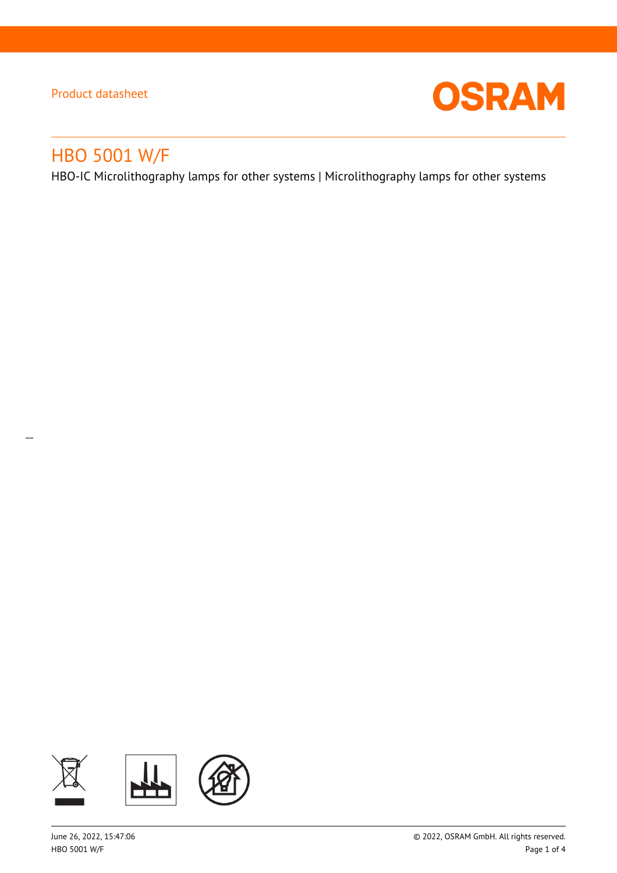

# HBO 5001 W/F

 $\overline{a}$ 

HBO-IC Microlithography lamps for other systems | Microlithography lamps for other systems

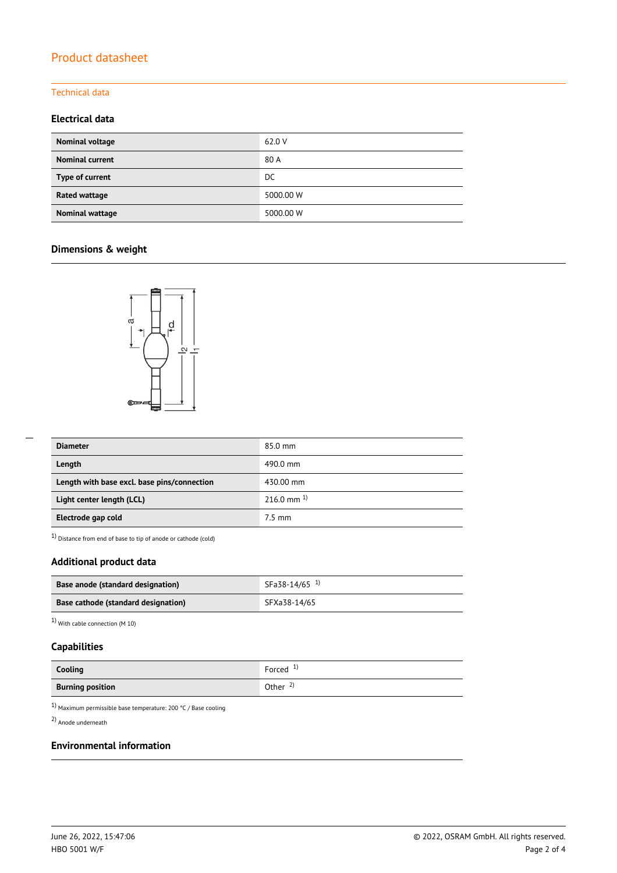#### Technical data

## **Electrical data**

| Nominal voltage        | 62.0 V    |
|------------------------|-----------|
| <b>Nominal current</b> | 80 A      |
| Type of current        | DC.       |
| Rated wattage          | 5000.00 W |
| Nominal wattage        | 5000.00 W |

## **Dimensions & weight**



| <b>Diameter</b>                             | 85.0 mm          |
|---------------------------------------------|------------------|
| Length                                      | 490.0 mm         |
| Length with base excl. base pins/connection | 430.00 mm        |
| Light center length (LCL)                   | 216.0 mm $^{1}$  |
| Electrode gap cold                          | $7.5 \text{ mm}$ |

 $1)$  Distance from end of base to tip of anode or cathode (cold)

## **Additional product data**

| Base anode (standard designation)   | SFa38-14/65 <sup>1)</sup> |
|-------------------------------------|---------------------------|
| Base cathode (standard designation) | SFXa38-14/65              |

1) With cable connection (M 10)

## **Capabilities**

| Cooling                 | Forced $1$          |
|-------------------------|---------------------|
| <b>Burning position</b> | Other $\frac{2}{3}$ |

 $^{1)}$  Maximum permissible base temperature: 200 °C / Base cooling

2) Anode underneath

## **Environmental information**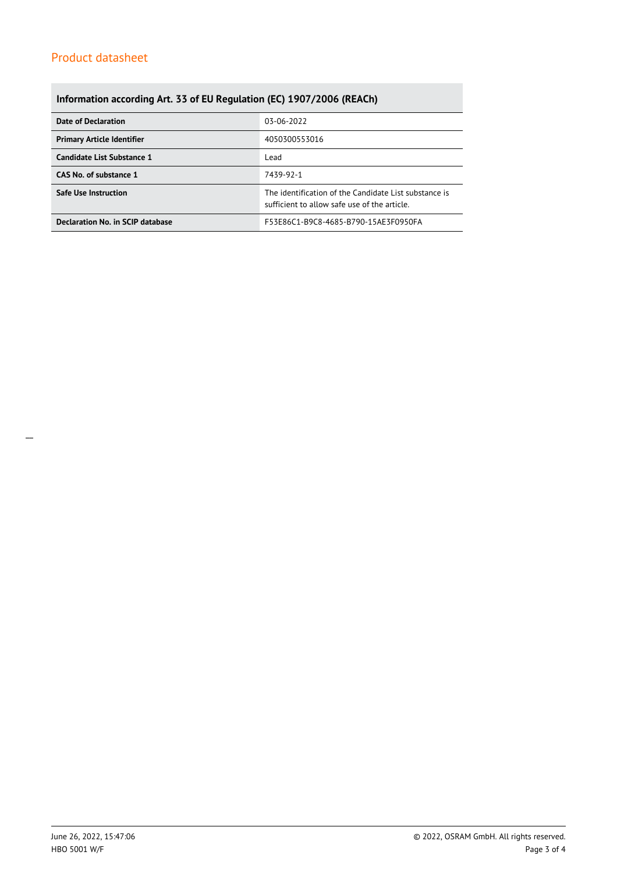## **Information according Art. 33 of EU Regulation (EC) 1907/2006 (REACh)**

| Date of Declaration               | 03-06-2022                                                                                            |  |  |
|-----------------------------------|-------------------------------------------------------------------------------------------------------|--|--|
| <b>Primary Article Identifier</b> | 4050300553016                                                                                         |  |  |
| Candidate List Substance 1        | Lead                                                                                                  |  |  |
| CAS No. of substance 1            | 7439-92-1                                                                                             |  |  |
| <b>Safe Use Instruction</b>       | The identification of the Candidate List substance is<br>sufficient to allow safe use of the article. |  |  |
| Declaration No. in SCIP database  | F53E86C1-B9C8-4685-B790-15AE3F0950FA                                                                  |  |  |